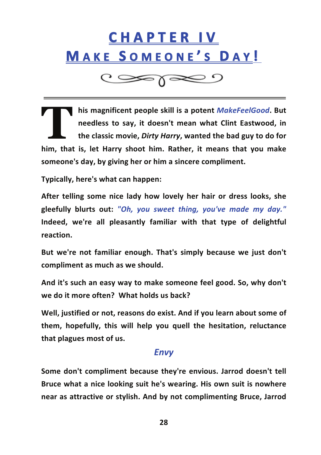

 $\circ$ 

**his magnificent people skill is a potent** *MakeFeelGood***. But needless to say, it doesn't mean what Clint Eastwood, in the classic movie,** *Dirty Harry***, wanted the bad guy to do for him, that is, let Harry shoot him. Rather, it means that you make someone's day, by giving her or him a sincere compliment. T** 

**Typically, here's what can happen:** 

**After telling some nice lady how lovely her hair or dress looks, she gleefully blurts out:** *"Oh, you sweet thing, you've made my day."* **Indeed, we're all pleasantly familiar with that type of delightful reaction.**

**But we're not familiar enough. That's simply because we just don't compliment as much as we should.**

**And it's such an easy way to make someone feel good. So, why don't we do it more often? 

What holds us back?**

**Well, justified or not, reasons do exist. And if you learn about some of them, hopefully, this will help you quell the hesitation, reluctance that plagues most of us.**

### *Envy*

**Some don't compliment because they're envious. Jarrod doesn't tell Bruce what a nice looking suit he's wearing. His own suit is nowhere near as attractive or stylish. And by not complimenting Bruce, Jarrod**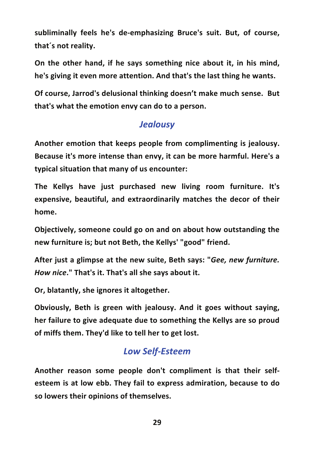subliminally feels he's de-emphasizing Bruce's suit. But, of course, **that´s not reality.**

**On the other hand, if he says something nice about it, in his mind, he's giving it even more attention. And that's the last thing he wants.**

**Of course, Jarrod's delusional thinking doesn't make much sense. 

But that's what the emotion envy can do to a person.**

## *Jealousy*

**Another emotion that keeps people from complimenting is jealousy. Because it's more intense than envy, it can be more harmful. Here's a typical situation that many of us encounter:**

**The Kellys have just purchased new living room furniture. It's expensive, beautiful, and extraordinarily matches the decor of their home.**

**Objectively, someone could go on and on about how outstanding the new furniture is; but not Beth, the Kellys' "good" friend.**

**After just a glimpse at the new suite, Beth says: "***Gee, new furniture. 

 How nice***." That's it. That's all she says about it.**

**Or, blatantly, she ignores it altogether.**

**Obviously, Beth is green with jealousy. And it goes without saying, her failure to give adequate due to something the Kellys are so proud of miffs them. They'd like to tell her to get lost.**

### *Low Self-‐Esteem*

**Another reason some people don't compliment is that their self-‐ esteem is at low ebb. They fail to express admiration, because to do so lowers their opinions of themselves.**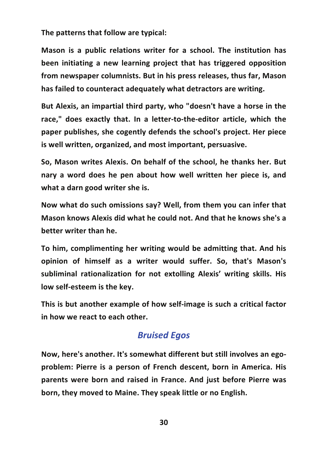**The patterns that follow are typical:**

**Mason is a public relations writer for a school. The institution has been initiating a new learning project that has triggered opposition from newspaper columnists. But in his press releases, thus far, Mason has failed to counteract adequately what detractors are writing.**

**But Alexis, an impartial third party, who "doesn't have a horse in the race," does exactly that. In a letter-‐to-‐the-‐editor article, which the paper publishes, she cogently defends the school's project. Her piece is well written, organized, and most important, persuasive.**

**So, Mason writes Alexis. On behalf of the school, he thanks her. But nary a word does he pen about how well written her piece is, and what a darn good writer she is.**

**Now what do such omissions say? Well, from them you can infer that Mason knows Alexis did what he could not. And that he knows she's a better writer than he.**

**To him, complimenting her writing would be admitting that. And his opinion of himself as a writer would suffer. So, that's Mason's subliminal rationalization for not extolling Alexis' writing skills. His** low self-esteem is the key.

**This is but another example of how self-‐image is such a critical factor in how we react to each other.**

### *Bruised Egos*

**Now, here's another. It's somewhat different but still involves an ego-‐ problem: Pierre is a person of French descent, born in America. His parents were born and raised in France. And just before Pierre was born, they moved to Maine. They speak little or no English.**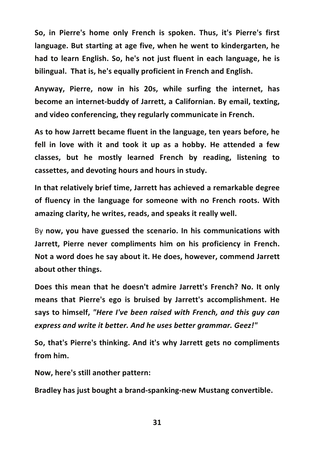**So, in Pierre's home only French is spoken. Thus, it's Pierre's first language. But starting at age five, when he went to kindergarten, he had to learn English. So, he's not just fluent in each language, he is bilingual. 

That is, he's equally proficient in French and English.**

**Anyway, Pierre, now in his 20s, while surfing the internet, has become an internet-‐buddy of Jarrett, a Californian. By email, texting, and video conferencing, they regularly communicate in French.**

**As to how Jarrett became fluent in the language, ten years before, he fell in love with it and took it up as a hobby. He attended a few classes, but he mostly learned French by reading, listening to cassettes, and devoting hours and hours in study.**

**In that relatively brief time, Jarrett has achieved a remarkable degree of fluency in the language for someone with no French roots. With amazing clarity, he writes, reads, and speaks it really well.**

By **now, you have guessed the scenario. In his communications with Jarrett, Pierre never compliments him on his proficiency in French. Not a word does he say about it. He does, however, commend Jarrett about other things.**

**Does this mean that he doesn't admire Jarrett's French? No. It only means that Pierre's ego is bruised by Jarrett's accomplishment. He says to himself,** *"Here I've been raised with French, and this guy can express and write it better. And he uses better grammar. Geez!"*

**So, that's Pierre's thinking. And it's why Jarrett gets no compliments from him.**

**Now, here's still another pattern:**

**Bradley has just bought a brand-‐spanking-‐new Mustang convertible.**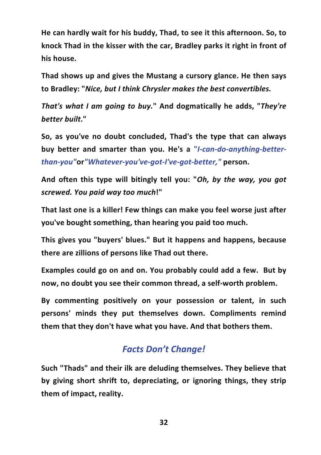**He can hardly wait for his buddy, Thad, to see it this afternoon. So, to knock Thad in the kisser with the car, Bradley parks it right in front of** his house.

**Thad shows up and gives the Mustang a cursory glance. He then says to Bradley: "***Nice, but I think Chrysler makes the best convertibles.*

*That's what I am going to buy.***" And dogmatically he adds, "***They're better built***."**

**So, as you've no doubt concluded, Thad's the type that can always buy better and smarter than you. He's a "***I-‐can-‐do-‐anything-‐better-‐ than-‐you"***or***"Whatever-‐you've-‐got-‐I've-‐got-‐better,"* **person.**

**And often this type will bitingly tell you: "***Oh, by the way, you got screwed. You paid way too much***!"**

**That last one is a killer! Few things can make you feel worse just after you've bought something, than hearing you paid too much.**

**This gives you "buyers' blues." But it happens and happens, because there are zillions of persons like Thad out there.**

**Examples could go on and on. You probably could add a few. 

But by now, no doubt you see their common thread, a self-‐worth problem.**

**By commenting positively on your possession or talent, in such persons' minds they put themselves down. Compliments remind them that they don't have what you have. And that bothers them.**

### *Facts Don't Change!*

**Such "Thads" and their ilk are deluding themselves. They believe that by giving short shrift to, depreciating, or ignoring things, they strip them of impact, reality.**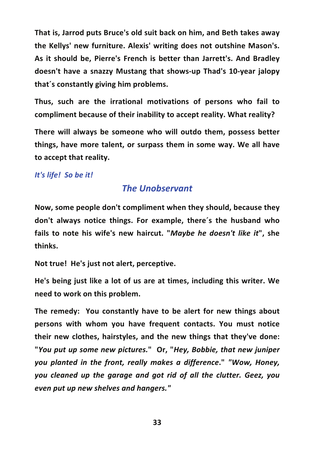**That is, Jarrod puts Bruce's old suit back on him, and Beth takes away the Kellys' new furniture. Alexis' writing does not outshine Mason's. As it should be, Pierre's French is better than Jarrett's. And Bradley doesn't have a snazzy Mustang that shows-‐up Thad's 10-‐year jalopy that´s constantly giving him problems.**

**Thus, such are the irrational motivations of persons who fail to compliment because of their inability to accept reality. What reality?**

**There will always be someone who will outdo them, possess better things, have more talent, or surpass them in some way. We all have to accept that reality.**

#### *It's life! 

So be it!*

### *The Unobservant*

**Now, some people don't compliment when they should, because they don't always notice things. For example, there´s the husband who fails to note his wife's new haircut. "***Maybe he doesn't like it***", she thinks.**

**Not true! 

He's just not alert, perceptive.**

**He's being just like a lot of us are at times, including this writer. We need to work on this problem.**

**The remedy: 

 You constantly have to be alert for new things about persons with whom you have frequent contacts. You must notice their new clothes, hairstyles, and the new things that they've done: 

 "***You put up some new pictures.***" 

Or, "***Hey, Bobbie, that new juniper you planted in the front, really makes a difference***."** *"Wow, Honey, you cleaned up the garage and got rid of all the clutter. Geez, you even put up new shelves and hangers."*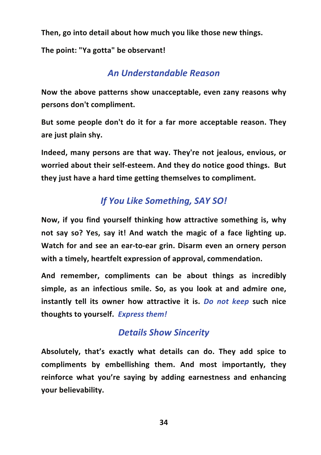**Then, go into detail about how much you like those new things.**

**The point: "Ya gotta" be observant!**

## *An Understandable Reason*

**Now the above patterns show unacceptable, even zany reasons why persons don't compliment.**

**But some people don't do it for a far more acceptable reason. They** are just plain shy.

**Indeed, many persons are that way. They're not jealous, envious, or worried about their self-‐esteem. And they do notice good things. 

But they just have a hard time getting themselves to compliment.**

# *If You Like Something, SAY SO!*

**Now, if you find yourself thinking how attractive something is, why not say so? Yes, say it! And watch the magic of a face lighting up. 

 Watch for and see an ear-‐to-‐ear grin. Disarm even an ornery person with a timely, heartfelt expression of approval, commendation.**

**And remember, compliments can be about things as incredibly simple, as an infectious smile. So, as you look at and admire one, instantly tell its owner how attractive it is.** *Do not keep* **such nice** thoughts to yourself. Express them!

## *Details Show Sincerity*

**Absolutely, that's exactly what details can do. They add spice to compliments by embellishing them. And most importantly, they reinforce what you're saying by adding earnestness and enhancing your believability.**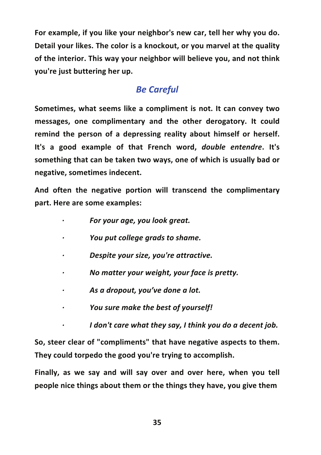**For example, if you like your neighbor's new car, tell her why you do. Detail your likes. The color is a knockout, or you marvel at the quality of the interior. This way your neighbor will believe you, and not think you're just buttering her up.**

# *Be Careful*

**Sometimes, what seems like a compliment is not. It can convey two messages, one complimentary and the other derogatory. It could remind the person of a depressing reality about himself or herself. 

 It's a good example of that French word,** *double entendre***. It's something that can be taken two ways, one of which is usually bad or** negative, sometimes indecent.

**And often the negative portion will transcend the complimentary part. Here are some examples:**

- **·∙** *For your age, you look great.*
- *·∙ You put college grads to shame.*
- *·∙ Despite your size, you're attractive.*
- *·∙ No matter your weight, your face is pretty.*
- *·∙ As a dropout, you've done a lot.*
- *·∙ You sure make the best of yourself!*
- *·∙ I don't care what they say, I think you do a decent job.*

**So, steer clear of "compliments" that have negative aspects to them. 

 They could torpedo the good you're trying to accomplish.**

**Finally, as we say and will say over and over here, when you tell people nice things about them or the things they have, you give them**